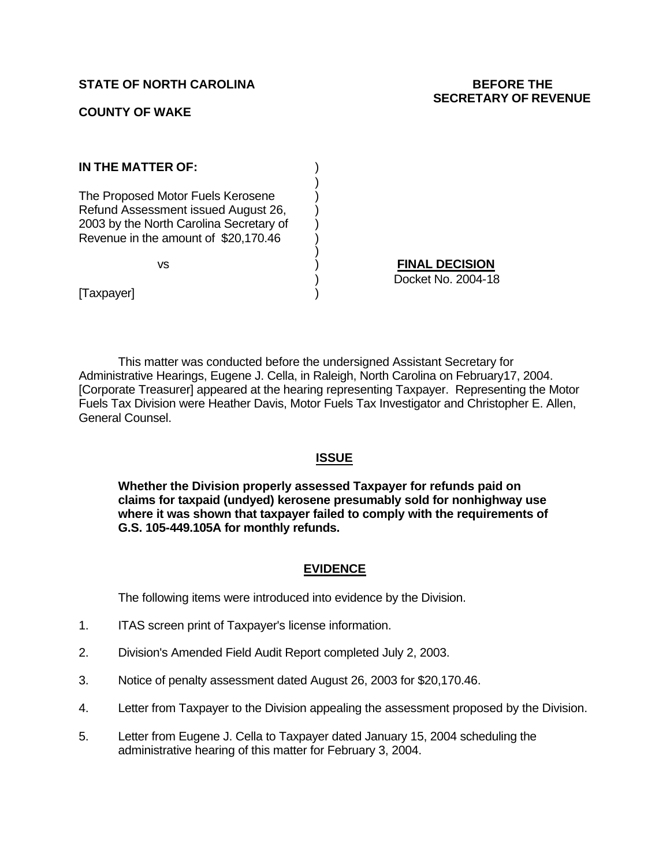### **STATE OF NORTH CAROLINA BEFORE THE**

# **SECRETARY OF REVENUE**

#### **COUNTY OF WAKE**

| IN THE MATTER OF:                                                                                                                                           |                                             |
|-------------------------------------------------------------------------------------------------------------------------------------------------------------|---------------------------------------------|
| The Proposed Motor Fuels Kerosene<br>Refund Assessment issued August 26,<br>2003 by the North Carolina Secretary of<br>Revenue in the amount of \$20,170.46 |                                             |
| vs                                                                                                                                                          | <b>FINAL DECISION</b><br>Docket No. 2004-18 |
| [Taxpayer]                                                                                                                                                  |                                             |

This matter was conducted before the undersigned Assistant Secretary for Administrative Hearings, Eugene J. Cella, in Raleigh, North Carolina on February17, 2004. [Corporate Treasurer] appeared at the hearing representing Taxpayer.Representing the Motor Fuels Tax Division were Heather Davis, Motor Fuels Tax Investigator and Christopher E. Allen, General Counsel.

#### **ISSUE**

**Whether the Division properly assessed Taxpayer for refunds paid on claims for taxpaid (undyed) kerosene presumably sold for nonhighway use where it was shown that taxpayer failed to comply with the requirements of G.S. 105-449.105A for monthly refunds.**

#### **EVIDENCE**

The following items were introduced into evidence by the Division.

- 1. ITAS screen print of Taxpayer's license information.
- 2. Division's Amended Field Audit Report completed July 2, 2003.
- 3. Notice of penalty assessment dated August 26, 2003 for \$20,170.46.
- 4. Letter from Taxpayer to the Division appealing the assessment proposed by the Division.
- 5. Letter from Eugene J. Cella to Taxpayer dated January 15, 2004 scheduling the administrative hearing of this matter for February 3, 2004.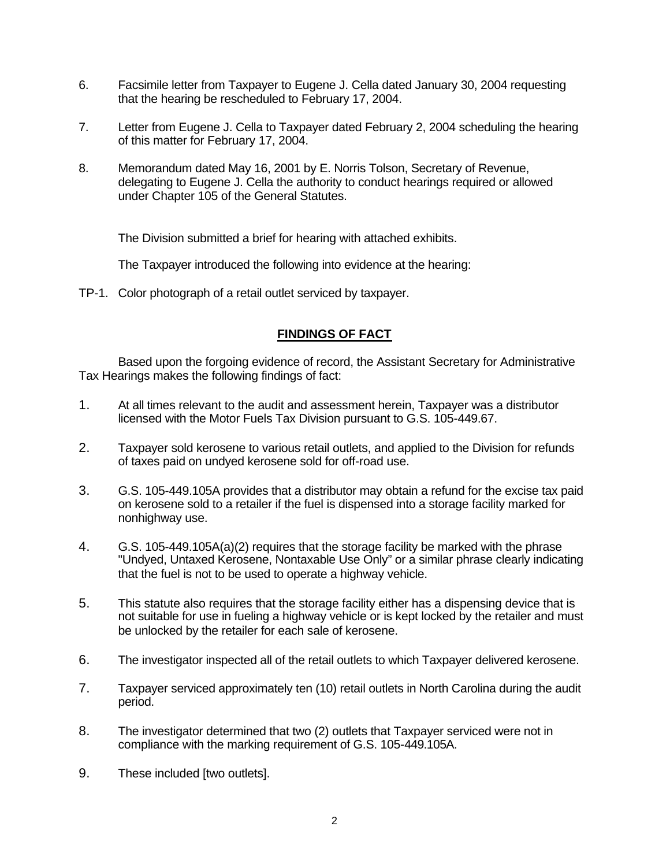- 6. Facsimile letter from Taxpayer to Eugene J. Cella dated January 30, 2004 requesting that the hearing be rescheduled to February 17, 2004.
- 7. Letter from Eugene J. Cella to Taxpayer dated February 2, 2004 scheduling the hearing of this matter for February 17, 2004.
- 8. Memorandum dated May 16, 2001 by E. Norris Tolson, Secretary of Revenue, delegating to Eugene J. Cella the authority to conduct hearings required or allowed under Chapter 105 of the General Statutes.

The Division submitted a brief for hearing with attached exhibits.

The Taxpayer introduced the following into evidence at the hearing:

TP-1. Color photograph of a retail outlet serviced by taxpayer.

# **FINDINGS OF FACT**

Based upon the forgoing evidence of record, the Assistant Secretary for Administrative Tax Hearings makes the following findings of fact:

- 1. At all times relevant to the audit and assessment herein, Taxpayer was a distributor licensed with the Motor Fuels Tax Division pursuant to G.S. 105-449.67.
- 2. Taxpayer sold kerosene to various retail outlets, and applied to the Division for refunds of taxes paid on undyed kerosene sold for off-road use.
- 3. G.S. 105-449.105A provides that a distributor may obtain a refund for the excise tax paid on kerosene sold to a retailer if the fuel is dispensed into a storage facility marked for nonhighway use.
- 4. G.S. 105-449.105A(a)(2) requires that the storage facility be marked with the phrase "Undyed, Untaxed Kerosene, Nontaxable Use Only" or a similar phrase clearly indicating that the fuel is not to be used to operate a highway vehicle.
- 5. This statute also requires that the storage facility either has a dispensing device that is not suitable for use in fueling a highway vehicle or is kept locked by the retailer and must be unlocked by the retailer for each sale of kerosene.
- 6. The investigator inspected all of the retail outlets to which Taxpayer delivered kerosene.
- 7. Taxpayer serviced approximately ten (10) retail outlets in North Carolina during the audit period.
- 8. The investigator determined that two (2) outlets that Taxpayer serviced were not in compliance with the marking requirement of G.S. 105-449.105A.
- 9. These included [two outlets].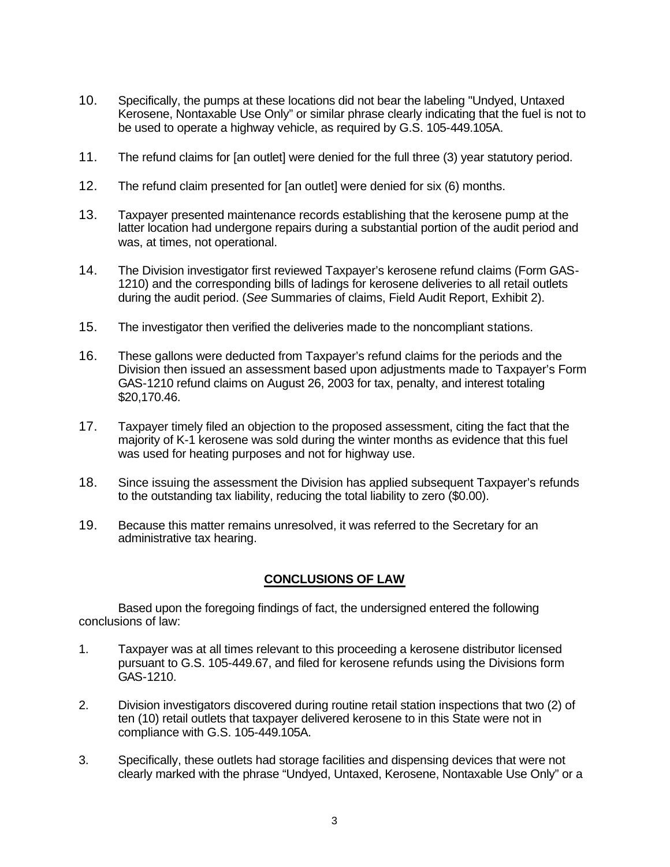- 10. Specifically, the pumps at these locations did not bear the labeling "Undyed, Untaxed Kerosene, Nontaxable Use Only" or similar phrase clearly indicating that the fuel is not to be used to operate a highway vehicle, as required by G.S. 105-449.105A.
- 11. The refund claims for [an outlet] were denied for the full three (3) year statutory period.
- 12. The refund claim presented for [an outlet] were denied for six (6) months.
- 13. Taxpayer presented maintenance records establishing that the kerosene pump at the latter location had undergone repairs during a substantial portion of the audit period and was, at times, not operational.
- 14. The Division investigator first reviewed Taxpayer's kerosene refund claims (Form GAS-1210) and the corresponding bills of ladings for kerosene deliveries to all retail outlets during the audit period. (*See* Summaries of claims, Field Audit Report, Exhibit 2).
- 15. The investigator then verified the deliveries made to the noncompliant stations.
- 16. These gallons were deducted from Taxpayer's refund claims for the periods and the Division then issued an assessment based upon adjustments made to Taxpayer's Form GAS-1210 refund claims on August 26, 2003 for tax, penalty, and interest totaling \$20,170.46.
- 17. Taxpayer timely filed an objection to the proposed assessment, citing the fact that the majority of K-1 kerosene was sold during the winter months as evidence that this fuel was used for heating purposes and not for highway use.
- 18. Since issuing the assessment the Division has applied subsequent Taxpayer's refunds to the outstanding tax liability, reducing the total liability to zero (\$0.00).
- 19. Because this matter remains unresolved, it was referred to the Secretary for an administrative tax hearing.

## **CONCLUSIONS OF LAW**

Based upon the foregoing findings of fact, the undersigned entered the following conclusions of law:

- 1. Taxpayer was at all times relevant to this proceeding a kerosene distributor licensed pursuant to G.S. 105-449.67, and filed for kerosene refunds using the Divisions form GAS-1210.
- 2. Division investigators discovered during routine retail station inspections that two (2) of ten (10) retail outlets that taxpayer delivered kerosene to in this State were not in compliance with G.S. 105-449.105A.
- 3. Specifically, these outlets had storage facilities and dispensing devices that were not clearly marked with the phrase "Undyed, Untaxed, Kerosene, Nontaxable Use Only" or a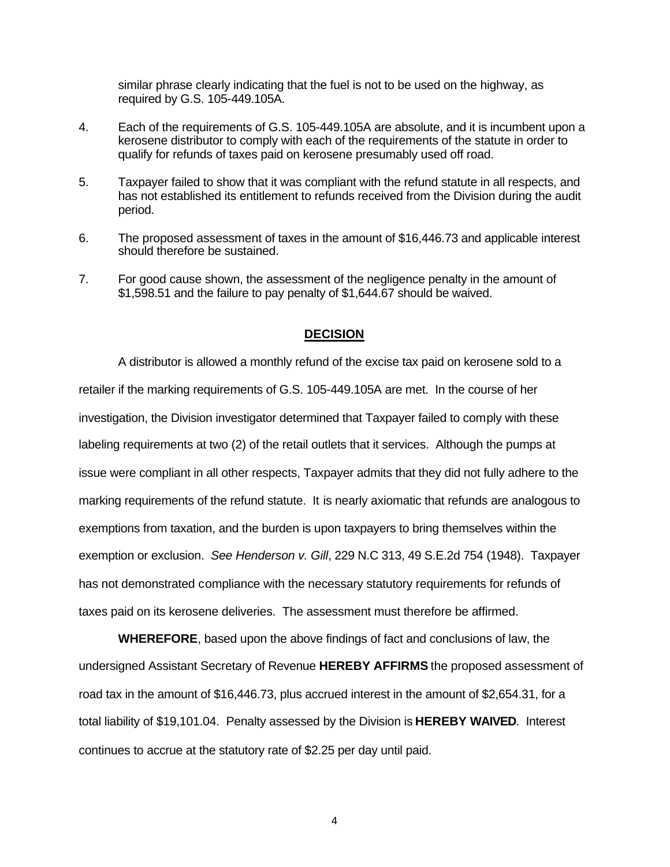similar phrase clearly indicating that the fuel is not to be used on the highway, as required by G.S. 105-449.105A.

- 4. Each of the requirements of G.S. 105-449.105A are absolute, and it is incumbent upon a kerosene distributor to comply with each of the requirements of the statute in order to qualify for refunds of taxes paid on kerosene presumably used off road.
- 5. Taxpayer failed to show that it was compliant with the refund statute in all respects, and has not established its entitlement to refunds received from the Division during the audit period.
- 6. The proposed assessment of taxes in the amount of \$16,446.73 and applicable interest should therefore be sustained.
- 7. For good cause shown, the assessment of the negligence penalty in the amount of \$1,598.51 and the failure to pay penalty of \$1,644.67 should be waived.

#### **DECISION**

A distributor is allowed a monthly refund of the excise tax paid on kerosene sold to a retailer if the marking requirements of G.S. 105-449.105A are met. In the course of her investigation, the Division investigator determined that Taxpayer failed to comply with these labeling requirements at two (2) of the retail outlets that it services. Although the pumps at issue were compliant in all other respects, Taxpayer admits that they did not fully adhere to the marking requirements of the refund statute. It is nearly axiomatic that refunds are analogous to exemptions from taxation, and the burden is upon taxpayers to bring themselves within the exemption or exclusion. *See Henderson v. Gill*, 229 N.C 313, 49 S.E.2d 754 (1948). Taxpayer has not demonstrated compliance with the necessary statutory requirements for refunds of taxes paid on its kerosene deliveries. The assessment must therefore be affirmed.

**WHEREFORE**, based upon the above findings of fact and conclusions of law, the undersigned Assistant Secretary of Revenue **HEREBY AFFIRMS** the proposed assessment of road tax in the amount of \$16,446.73, plus accrued interest in the amount of \$2,654.31, for a total liability of \$19,101.04. Penalty assessed by the Division is **HEREBY WAIVED**. Interest continues to accrue at the statutory rate of \$2.25 per day until paid.